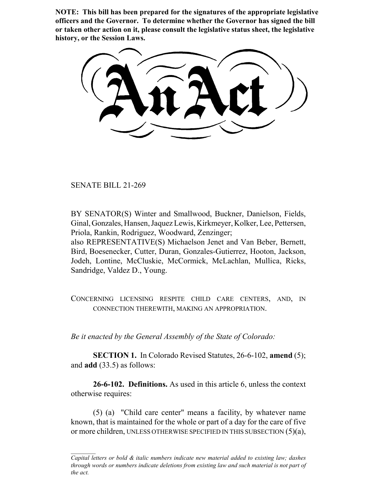**NOTE: This bill has been prepared for the signatures of the appropriate legislative officers and the Governor. To determine whether the Governor has signed the bill or taken other action on it, please consult the legislative status sheet, the legislative history, or the Session Laws.**

SENATE BILL 21-269

BY SENATOR(S) Winter and Smallwood, Buckner, Danielson, Fields, Ginal, Gonzales, Hansen, Jaquez Lewis, Kirkmeyer, Kolker, Lee, Pettersen, Priola, Rankin, Rodriguez, Woodward, Zenzinger;

also REPRESENTATIVE(S) Michaelson Jenet and Van Beber, Bernett, Bird, Boesenecker, Cutter, Duran, Gonzales-Gutierrez, Hooton, Jackson, Jodeh, Lontine, McCluskie, McCormick, McLachlan, Mullica, Ricks, Sandridge, Valdez D., Young.

CONCERNING LICENSING RESPITE CHILD CARE CENTERS, AND, IN CONNECTION THEREWITH, MAKING AN APPROPRIATION.

*Be it enacted by the General Assembly of the State of Colorado:*

**SECTION 1.** In Colorado Revised Statutes, 26-6-102, **amend** (5); and **add** (33.5) as follows:

**26-6-102. Definitions.** As used in this article 6, unless the context otherwise requires:

(5) (a) "Child care center" means a facility, by whatever name known, that is maintained for the whole or part of a day for the care of five or more children, UNLESS OTHERWISE SPECIFIED IN THIS SUBSECTION  $(5)(a)$ ,

*Capital letters or bold & italic numbers indicate new material added to existing law; dashes through words or numbers indicate deletions from existing law and such material is not part of the act.*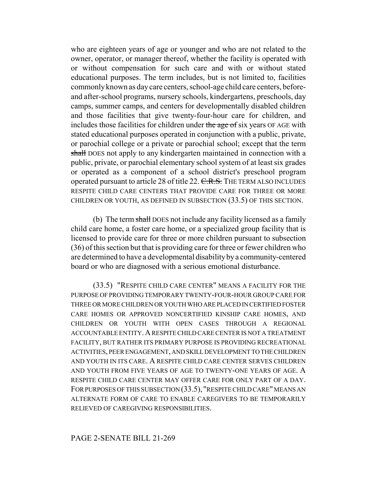who are eighteen years of age or younger and who are not related to the owner, operator, or manager thereof, whether the facility is operated with or without compensation for such care and with or without stated educational purposes. The term includes, but is not limited to, facilities commonly known as day care centers, school-age child care centers, beforeand after-school programs, nursery schools, kindergartens, preschools, day camps, summer camps, and centers for developmentally disabled children and those facilities that give twenty-four-hour care for children, and includes those facilities for children under the age of six years OF AGE with stated educational purposes operated in conjunction with a public, private, or parochial college or a private or parochial school; except that the term shall DOES not apply to any kindergarten maintained in connection with a public, private, or parochial elementary school system of at least six grades or operated as a component of a school district's preschool program operated pursuant to article 28 of title 22. C.R.S. THE TERM ALSO INCLUDES RESPITE CHILD CARE CENTERS THAT PROVIDE CARE FOR THREE OR MORE CHILDREN OR YOUTH, AS DEFINED IN SUBSECTION (33.5) OF THIS SECTION.

(b) The term shall DOES not include any facility licensed as a family child care home, a foster care home, or a specialized group facility that is licensed to provide care for three or more children pursuant to subsection (36) of this section but that is providing care for three or fewer children who are determined to have a developmental disability by a community-centered board or who are diagnosed with a serious emotional disturbance.

(33.5) "RESPITE CHILD CARE CENTER" MEANS A FACILITY FOR THE PURPOSE OF PROVIDING TEMPORARY TWENTY-FOUR-HOUR GROUP CARE FOR THREE OR MORE CHILDREN OR YOUTH WHO ARE PLACED IN CERTIFIED FOSTER CARE HOMES OR APPROVED NONCERTIFIED KINSHIP CARE HOMES, AND CHILDREN OR YOUTH WITH OPEN CASES THROUGH A REGIONAL ACCOUNTABLE ENTITY.A RESPITE CHILD CARE CENTER IS NOT A TREATMENT FACILITY, BUT RATHER ITS PRIMARY PURPOSE IS PROVIDING RECREATIONAL ACTIVITIES, PEER ENGAGEMENT, AND SKILL DEVELOPMENT TO THE CHILDREN AND YOUTH IN ITS CARE. A RESPITE CHILD CARE CENTER SERVES CHILDREN AND YOUTH FROM FIVE YEARS OF AGE TO TWENTY-ONE YEARS OF AGE. A RESPITE CHILD CARE CENTER MAY OFFER CARE FOR ONLY PART OF A DAY. FOR PURPOSES OF THIS SUBSECTION (33.5), "RESPITE CHILD CARE" MEANS AN ALTERNATE FORM OF CARE TO ENABLE CAREGIVERS TO BE TEMPORARILY RELIEVED OF CAREGIVING RESPONSIBILITIES.

## PAGE 2-SENATE BILL 21-269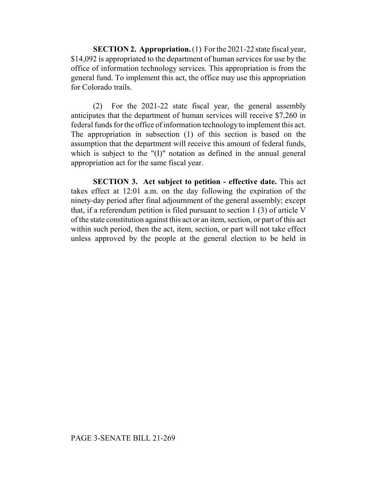**SECTION 2. Appropriation.** (1) For the 2021-22 state fiscal year, \$14,092 is appropriated to the department of human services for use by the office of information technology services. This appropriation is from the general fund. To implement this act, the office may use this appropriation for Colorado trails.

(2) For the 2021-22 state fiscal year, the general assembly anticipates that the department of human services will receive \$7,260 in federal funds for the office of information technology to implement this act. The appropriation in subsection (1) of this section is based on the assumption that the department will receive this amount of federal funds, which is subject to the "(I)" notation as defined in the annual general appropriation act for the same fiscal year.

**SECTION 3. Act subject to petition - effective date.** This act takes effect at 12:01 a.m. on the day following the expiration of the ninety-day period after final adjournment of the general assembly; except that, if a referendum petition is filed pursuant to section 1 (3) of article V of the state constitution against this act or an item, section, or part of this act within such period, then the act, item, section, or part will not take effect unless approved by the people at the general election to be held in